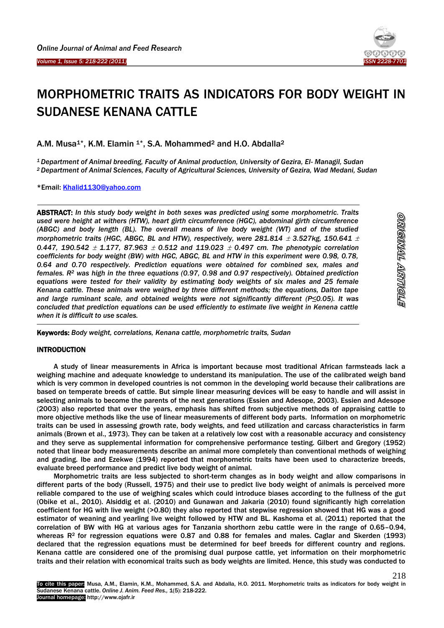Ï

**.** 



# MORPHOMETRIC TRAITS AS INDICATORS FOR BODY WEIGHT IN SUDANESE KENANA CATTLE

A.M. Musa<sup>1\*</sup>, K.M. Elamin <sup>1\*</sup>, S.A. Mohammed<sup>2</sup> and H.O. Abdalla<sup>2</sup>

*<sup>1</sup>Department of Animal breeding, Faculty of Animal production, University of Gezira, El- Managil, Sudan <sup>2</sup>Department of Animal Sciences, Faculty of Agricultural Sciences, University of Gezira, Wad Medani, Sudan*

\*Email: [Khalid1130@yahoo.com](mailto:Khalid1130@yahoo.com)

ABSTRACT: *In this study body weight in both sexes was predicted using some morphometric. Traits used were height at withers (HTW), heart girth circumference (HGC), abdominal girth circumference (ABGC) and body length (BL). The overall means of live body weight (WT) and of the studied morphometric traits (HGC, ABGC, BL and HTW), respectively, were 281.814*  $\pm$  *3.527kg, 150.641*  $\pm$ *0.447, 190.542 1.177, 87.963 0.512 and 119.023 0.497 cm. The phenotypic correlation coefficients for body weight (BW) with HGC, ABGC, BL and HTW in this experiment were 0.98, 0.78, 0.64 and 0.70 respectively. Prediction equations were obtained for combined sex, males and females. R<sup>2</sup> was high in the three equations (0.97, 0.98 and 0.97 respectively). Obtained prediction equations were tested for their validity by estimating body weights of six males and 25 female Kenana cattle. These animals were weighed by three different methods; the equations, Dalton tape and large ruminant scale, and obtained weights were not significantly different (P≤0.05). It was concluded that prediction equations can be used efficiently to estimate live weight in Kenena cattle when it is difficult to use scales.*

Keywords: *Body weight, correlations, Kenana cattle, morphometric traits, Sudan*

## **INTRODUCTION**

A study of linear measurements in Africa is important because most traditional African farmsteads lack a weighing machine and adequate knowledge to understand its manipulation. The use of the calibrated weigh band which is very common in developed countries is not common in the developing world because their calibrations are based on temperate breeds of cattle. But simple linear measuring devices will be easy to handle and will assist in selecting animals to become the parents of the next generations (Essien and Adesope, 2003). Essien and Adesope (2003) also reported that over the years, emphasis has shifted from subjective methods of appraising cattle to more objective methods like the use of linear measurements of different body parts. Information on morphometric traits can be used in assessing growth rate, body weights, and feed utilization and carcass characteristics in farm animals (Brown et al., 1973). They can be taken at a relatively low cost with a reasonable accuracy and consistency and they serve as supplemental information for comprehensive performance testing. Gilbert and Gregory (1952) noted that linear body measurements describe an animal more completely than conventional methods of weighing and grading. Ibe and Ezekwe (1994) reported that morphometric traits have been used to characterize breeds, evaluate breed performance and predict live body weight of animal.

Morphometric traits are less subjected to short-term changes as in body weight and allow comparisons in different parts of the body (Russell, 1975) and their use to predict live body weight of animals is perceived more reliable compared to the use of weighing scales which could introduce biases according to the fullness of the gut (Obike et al., 2010). Alsiddig et al. (2010) and Gunawan and Jakaria (2010) found significantly high correlation coefficient for HG with live weight (>0.80) they also reported that stepwise regression showed that HG was a good estimator of weaning and yearling live weight followed by HTW and BL. Kashoma et al. (2011) reported that the correlation of BW with HG at various ages for Tanzania shorthorn zebu cattle were in the range of 0.65–0.94, whereas  $R<sup>2</sup>$  for regression equations were 0.87 and 0.88 for females and males. Caglar and Skerden (1993) declared that the regression equations must be determined for beef breeds for different country and regions. Kenana cattle are considered one of the promising dual purpose cattle, yet information on their morphometric traits and their relation with economical traits such as body weights are limited. Hence, this study was conducted to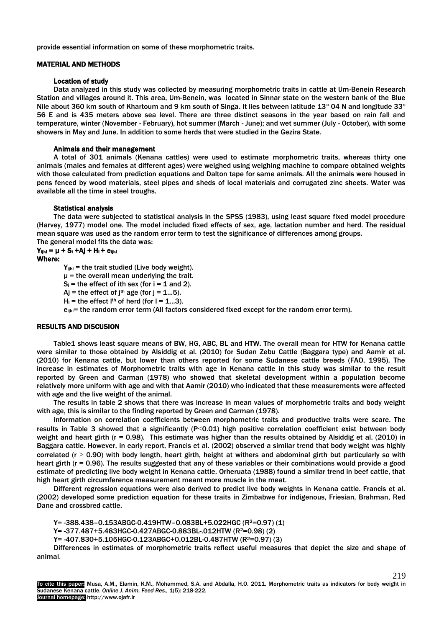provide essential information on some of these morphometric traits.

### MATERIAL AND METHODS

### Location of study

Data analyzed in this study was collected by measuring morphometric traits in cattle at Um-Benein Research Station and villages around it. This area, Um-Benein, was located in Sinnar state on the western bank of the Blue Nile about 360 km south of Khartoum and 9 km south of Singa. It lies between latitude 13° 04 N and longitude 33° 56 E and is 435 meters above sea level. There are three distinct seasons in the year based on rain fall and temperature, winter (November - February), hot summer (March - June); and wet summer (July - October), with some showers in May and June. In addition to some herds that were studied in the Gezira State.

### Animals and their management

A total of 301 animals (Kenana cattles) were used to estimate morphometric traits, whereas thirty one animals (males and females at different ages) were weighed using weighing machine to compare obtained weights with those calculated from prediction equations and Dalton tape for same animals. All the animals were housed in pens fenced by wood materials, steel pipes and sheds of local materials and corrugated zinc sheets. Water was available all the time in steel troughs.

### Statistical analysis

The data were subjected to statistical analysis in the SPSS (1983), using least square fixed model procedure (Harvey, 1977) model one. The model included fixed effects of sex, age, lactation number and herd. The residual mean square was used as the random error term to test the significance of differences among groups. The general model fits the data was:

# $Y_{ijkl} = \mu + S_{il} + A_{jl} + H_{il} + e_{ijkl}$

# Where:

 $Y_{ijkl}$  = the trait studied (Live body weight).

 $\mu$  = the overall mean underlying the trait.

- $S_i$  = the effect of ith sex (for  $i = 1$  and 2).
- $Ai = the effect of i<sup>th</sup> age (for i = 1...5).$
- $H_{\parallel}$  = the effect  $I^{th}$  of herd (for  $I = 1...3$ ).

 $e_{ijkl}$ = the random error term (All factors considered fixed except for the random error term).

## RESULTS AND DISCUSION

Table1 shows least square means of BW, HG, ABC, BL and HTW. The overall mean for HTW for Kenana cattle were similar to those obtained by Alsiddig et al. (2010) for Sudan Zebu Cattle (Baggara type) and Aamir et al. (2010) for Kenana cattle, but lower than others reported for some Sudanese cattle breeds (FAO, 1995). The increase in estimates of Morphometric traits with age in Kenana cattle in this study was similar to the result reported by Green and Carman (1978) who showed that skeletal development within a population become relatively more uniform with age and with that Aamir (2010) who indicated that these measurements were affected with age and the live weight of the animal.

The results in table 2 shows that there was increase in mean values of morphometric traits and body weight with age, this is similar to the finding reported by Green and Carman (1978).

Information on correlation coefficients between morphometric traits and productive traits were scare. The results in Table 3 showed that a significantly ( $P\leq 0.01$ ) high positive correlation coefficient exist between body weight and heart girth ( $r = 0.98$ ). This estimate was higher than the results obtained by Alsiddig et al. (2010) in Baggara cattle. However, in early report, Francis et al. (2002) observed a similar trend that body weight was highly correlated ( $r \ge 0.90$ ) with body length, heart girth, height at withers and abdominal girth but particularly so with heart girth (r = 0.96). The results suggested that any of these variables or their combinations would provide a good estimate of predicting live body weight in Kenana cattle. Orheruata (1988) found a similar trend in beef cattle, that high heart girth circumference measurement meant more muscle in the meat.

Different regression equations were also derived to predict live body weights in Kenana cattle. Francis et al. (2002) developed some prediction equation for these traits in Zimbabwe for indigenous, Friesian, Brahman, Red Dane and crossbred cattle.

Y= -388.438-0.153ABGC-0.419HTW-0.083BL+5.022HGC (R<sup>2</sup>=0.97) (1)

Y= -377.487+5.483HGC-0.427ABGC-0.883BL-.012HTW (R2=0.98) (2)

Y= -407.830+5.105HGC-0.123ABGC+0.012BL-0.487HTW (R2=0.97) (3)

Differences in estimates of morphometric traits reflect useful measures that depict the size and shape of animal.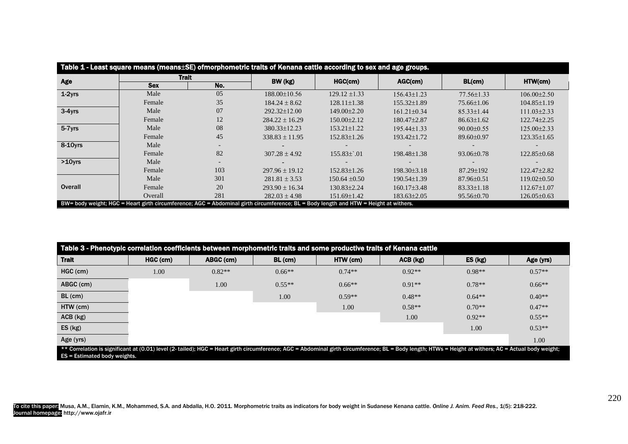| Table 1 - Least square means (means ESE) ofmorphometric traits of Kenana cattle according to sex and age groups.                     |              |     |                    |                   |                   |                  |                   |
|--------------------------------------------------------------------------------------------------------------------------------------|--------------|-----|--------------------|-------------------|-------------------|------------------|-------------------|
| Age                                                                                                                                  | <b>Trait</b> |     | BW (kg)            | HGC(cm)           | AGC(cm)           | BL(cm)           | HTW(cm)           |
|                                                                                                                                      | <b>Sex</b>   | No. |                    |                   |                   |                  |                   |
| $1-2$ yrs                                                                                                                            | Male         | 05  | 188.00±10.56       | $129.12 \pm 1.33$ | $156.43 \pm 1.23$ | $77.56 \pm 1.33$ | $106.00 \pm 2.50$ |
|                                                                                                                                      | Female       | 35  | $184.24 \pm 8.62$  | $128.11 \pm 1.38$ | $155.32 \pm 1.89$ | 75.66±1.06       | $104.85 \pm 1.19$ |
| $3-4yrs$                                                                                                                             | Male         | 07  | $292.32 \pm 12.00$ | 149.00±2.20       | $161.21 \pm 0.34$ | $85.33 \pm 1.44$ | $111.03 \pm 2.33$ |
|                                                                                                                                      | Female       | 12  | $284.22 \pm 16.29$ | $150.00 \pm 2.12$ | 180.47±2.87       | $86.63 \pm 1.62$ | 122.74±2.25       |
| 5-7yrs                                                                                                                               | Male         | 08  | 380.33±12.23       | $153.21 \pm 1.22$ | $195.44 \pm 1.33$ | $90.00 \pm 0.55$ | $125.00 \pm 2.33$ |
|                                                                                                                                      | Female       | 45  | $338.83 \pm 11.95$ | $152.83 \pm 1.26$ | 193.42±1.72       | $89.60 \pm 0.97$ | $123.35 \pm 1.65$ |
| 8-10yrs                                                                                                                              | Male         |     |                    |                   |                   |                  |                   |
|                                                                                                                                      | Female       | 82  | $307.28 \pm 4.92$  | $155.83\pm.01$    | 198.48±1.38       | $93.06 \pm 0.78$ | 122.85±0.68       |
| $>10$ yrs                                                                                                                            | Male         |     |                    |                   |                   |                  |                   |
|                                                                                                                                      | Female       | 103 | $297.96 \pm 19.12$ | $152.83 \pm 1.26$ | $198.30 \pm 3.18$ | $87.29 \pm 192$  | 122.47±2.82       |
|                                                                                                                                      | Male         | 301 | $281.81 \pm 3.53$  | $150.64 \pm 0.50$ | $190.54 \pm 1.39$ | $87.96 \pm 0.51$ | $119.02\pm0.50$   |
| <b>Overall</b>                                                                                                                       | Female       | 20  | $293.90 \pm 16.34$ | 130.83±2.24       | $160.17 \pm 3.48$ | $83.33 \pm 1.18$ | $112.67 \pm 1.07$ |
|                                                                                                                                      | Overall      | 281 | $282.03 \pm 4.98$  | 151.69±1.42       | $183.63 \pm 2.05$ | $95.56 \pm 0.70$ | $126.05 \pm 0.63$ |
| BW= body weight; HGC = Heart girth circumference; AGC = Abdominal girth circumference; BL = Body length and HTW = Height at withers. |              |     |                    |                   |                   |                  |                   |

| Table 3 - Phenotypic correlation coefficients between morphometric traits and some productive traits of Kenana cattle                                                                                                        |          |           |          |          |            |          |           |
|------------------------------------------------------------------------------------------------------------------------------------------------------------------------------------------------------------------------------|----------|-----------|----------|----------|------------|----------|-----------|
| <b>Trait</b>                                                                                                                                                                                                                 | HGC (cm) | ABGC (cm) | BL (cm)  | HTW (cm) | $ACB$ (kg) | ES (kg)  | Age (yrs) |
| HGC (cm)                                                                                                                                                                                                                     | 1.00     | $0.82**$  | $0.66**$ | $0.74**$ | $0.92**$   | $0.98**$ | $0.57**$  |
| ABGC (cm)                                                                                                                                                                                                                    |          | 1.00      | $0.55**$ | $0.66**$ | $0.91**$   | $0.78**$ | $0.66**$  |
| $BL$ (cm)                                                                                                                                                                                                                    |          |           | 1.00     | $0.59**$ | $0.48**$   | $0.64**$ | $0.40**$  |
| HTW (cm)                                                                                                                                                                                                                     |          |           |          | 1.00     | $0.58**$   | $0.70**$ | $0.47**$  |
| ACB (kg)                                                                                                                                                                                                                     |          |           |          |          | 1.00       | $0.92**$ | $0.55**$  |
| ES (kg)                                                                                                                                                                                                                      |          |           |          |          |            | 1.00     | $0.53**$  |
| Age (yrs)<br>$\star\star$ Correlation is significant at (0.01) level (2, tailed): HCC = Heart girth circumference: ACC = Abdominal girth circumference: RI = Rody length: HTMs = Height at withers: AC = Actual hody weight: |          |           |          |          |            |          | 1.00      |

\*\* Correlation is significant at (0.01) level (2- tailed); HGC = Heart girth circumference; AGC = Abdominal girth circumference; BL = Body length; HTWs = Height at withers; AC = Actual body weight; ES = Estimated body weights.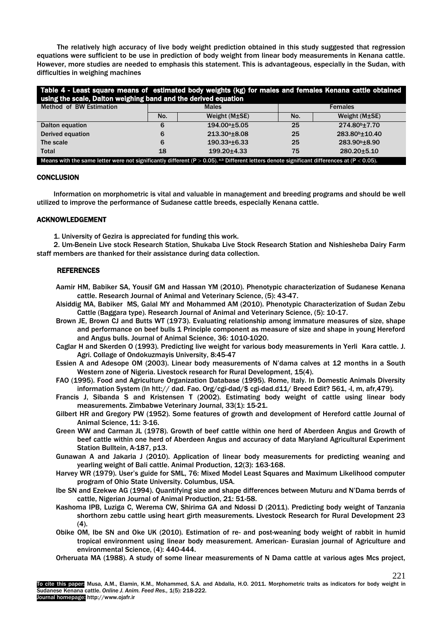The relatively high accuracy of live body weight prediction obtained in this study suggested that regression equations were sufficient to be use in prediction of body weight from linear body measurements in Kenana cattle. However, more studies are needed to emphasis this statement. This is advantageous, especially in the Sudan, with difficulties in weighing machines

| Table 4 - Least square means of estimated body weights (kg) for males and females Kenana cattle obtained                                    |     |                           |                |                            |  |  |  |
|---------------------------------------------------------------------------------------------------------------------------------------------|-----|---------------------------|----------------|----------------------------|--|--|--|
| using the scale, Dalton weighing band and the derived equation                                                                              |     |                           |                |                            |  |  |  |
| <b>Method of BW Estimation</b>                                                                                                              |     | <b>Males</b>              | <b>Females</b> |                            |  |  |  |
|                                                                                                                                             | No. | Weight $(M \pm SE)$       | No.            | Weight $(M \pm SE)$        |  |  |  |
| Dalton equation                                                                                                                             | 6   | 194.00 <sup>a</sup> ±5.05 | 25             | 274.80 <sup>b</sup> ±7.70  |  |  |  |
| <b>Derived equation</b>                                                                                                                     | 6   | $213.30^{\circ}$ ±8.08    | 25             | 283.80 <sup>b</sup> ±10.40 |  |  |  |
| The scale                                                                                                                                   | 6   | $190.33a + 6.33$          | 25             | 283.90 <sup>b</sup> ±8.90  |  |  |  |
| Total                                                                                                                                       | 18  | 199.20±4.33               | 75             | 280.20±5.10                |  |  |  |
| Means with the same letter were not significantly different (P > 0.05). a.b Different letters denote significant differences at (P < 0.05). |     |                           |                |                            |  |  |  |

### **CONCLUSION**

Information on morphometric is vital and valuable in management and breeding programs and should be well utilized to improve the performance of Sudanese cattle breeds, especially Kenana cattle.

### ACKNOWLEDGEMENT

1. University of Gezira is appreciated for funding this work.

2. Um-Benein Live stock Research Station, Shukaba Live Stock Research Station and Nishiesheba Dairy Farm staff members are thanked for their assistance during data collection.

### REFERENCES

- Aamir HM, Babiker SA, Yousif GM and Hassan YM (2010). Phenotypic characterization of Sudanese Kenana cattle. Research Journal of Animal and Veterinary Science, (5): 43-47.
- Alsiddig MA, Babiker MS, Galal MY and Mohammed AM (2010). Phenotypic Characterization of Sudan Zebu Cattle (Baggara type). Research Journal of Animal and Veterinary Science, (5): 10-17.
- Brown JE, Brown CJ and Butts WT (1973). Evaluating relationship among immature measures of size, shape and performance on beef bulls 1 Principle component as measure of size and shape in young Hereford and Angus bulls. Journal of Animal Science, 36: 1010-1020.
- Caglar H and Skerden O (1993). Predicting live weight for various body measurements in Yerli Kara cattle. J. Agri. Collage of Ondokuzmayis University, 8:45-47
- Essien A and Adesope OM (2003). Linear body measurements of N'dama calves at 12 months in a South Western zone of Nigeria. Livestock research for Rural Development, 15(4).
- FAO (1995). Food and Agriculture Organization Database (1995). Rome, Italy. In Domestic Animals Diversity information System (In htt:// dad. Fao. Org/cgi-dad/\$ cgi-dad.d11/ Breed Edit? 561, -I, m, afr,479).
- Francis J, Sibanda S and Kristensen T (2002). Estimating body weight of cattle using linear body measurements. Zimbabwe Veterinary Journal, 33(1): 15-21.
- Gilbert HR and Gregory PW (1952). Some features of growth and development of Hereford cattle Journal of Animal Science, 11: 3-16.
- Green WW and Carman JL (1978). Growth of beef cattle within one herd of Aberdeen Angus and Growth of beef cattle within one herd of Aberdeen Angus and accuracy of data Maryland Agricultural Experiment Station Bulltein, A-187, p13.
- Gunawan A and Jakaria J (2010). Application of linear body measurements for predicting weaning and yearling weight of Bali cattle. Animal Production, 12(3): 163-168.
- Harvey WR (1979). User's guide for SML, 76: Mixed Model Least Squares and Maximum Likelihood computer program of Ohio State University. Columbus, USA.
- Ibe SN and Ezekwe AG (1994). Quantifying size and shape differences between Muturu and N'Dama berrds of cattle, Nigerian Journal of Animal Production, 21: 51-58.
- Kashoma IPB, Luziga C, Werema CW, Shirima GA and Ndossi D (2011). Predicting body weight of Tanzania shorthorn zebu cattle using heart girth measurements. Livestock Research for Rural Development 23 (4).
- Obike OM, Ibe SN and Oke UK (2010). Estimation of re- and post-weaning body weight of rabbit in humid tropical environment using linear body measurement. American- Eurasian journal of Agriculture and environmental Science, (4): 440-444.
- Orheruata MA (1988). A study of some linear measurements of N Dama cattle at various ages Mcs project,